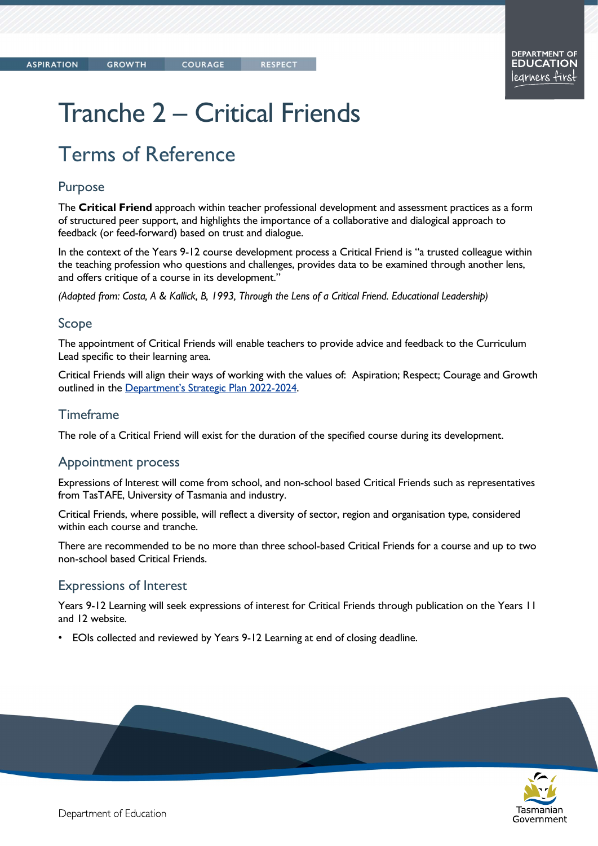Tasmanian

Government

# Tranche 2 – Critical Friends

# Terms of Reference

### Purpose

The Critical Friend approach within teacher professional development and assessment practices as a form of structured peer support, and highlights the importance of a collaborative and dialogical approach to feedback (or feed-forward) based on trust and dialogue.

In the context of the Years 9-12 course development process a Critical Friend is "a trusted colleague within the teaching profession who questions and challenges, provides data to be examined through another lens, and offers critique of a course in its development."

(Adapted from: Costa, A & Kallick, B, 1993, Through the Lens of a Critical Friend. Educational Leadership)

### Scope

The appointment of Critical Friends will enable teachers to provide advice and feedback to the Curriculum Lead specific to their learning area.

Critical Friends will align their ways of working with the values of: Aspiration; Respect; Courage and Growth outlined in the Department's Strategic Plan 2022-2024.

### Timeframe

The role of a Critical Friend will exist for the duration of the specified course during its development.

#### Appointment process

Expressions of Interest will come from school, and non-school based Critical Friends such as representatives from TasTAFE, University of Tasmania and industry.

Critical Friends, where possible, will reflect a diversity of sector, region and organisation type, considered within each course and tranche.

There are recommended to be no more than three school-based Critical Friends for a course and up to two non-school based Critical Friends.

### Expressions of Interest

Years 9-12 Learning will seek expressions of interest for Critical Friends through publication on the Years 11 and 12 website.

• EOIs collected and reviewed by Years 9-12 Learning at end of closing deadline.

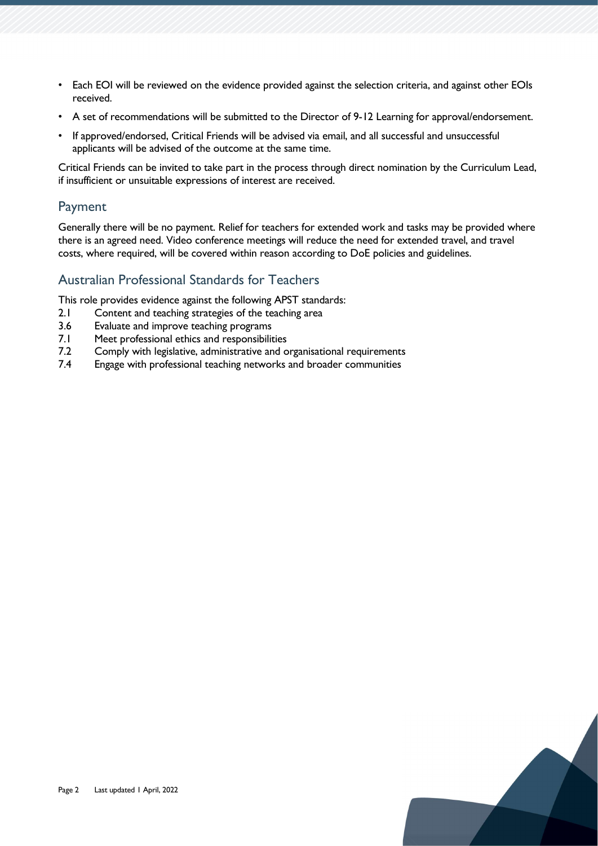- Each EOI will be reviewed on the evidence provided against the selection criteria, and against other EOIs received.
- A set of recommendations will be submitted to the Director of 9-12 Learning for approval/endorsement.
- If approved/endorsed, Critical Friends will be advised via email, and all successful and unsuccessful applicants will be advised of the outcome at the same time.

Critical Friends can be invited to take part in the process through direct nomination by the Curriculum Lead, if insufficient or unsuitable expressions of interest are received.

## Payment

Generally there will be no payment. Relief for teachers for extended work and tasks may be provided where there is an agreed need. Video conference meetings will reduce the need for extended travel, and travel costs, where required, will be covered within reason according to DoE policies and guidelines.

# Australian Professional Standards for Teachers

This role provides evidence against the following APST standards:

- 2.1 Content and teaching strategies of the teaching area
- 3.6 Evaluate and improve teaching programs
- 7.1 Meet professional ethics and responsibilities
- 7.2 Comply with legislative, administrative and organisational requirements
- 7.4 Engage with professional teaching networks and broader communities